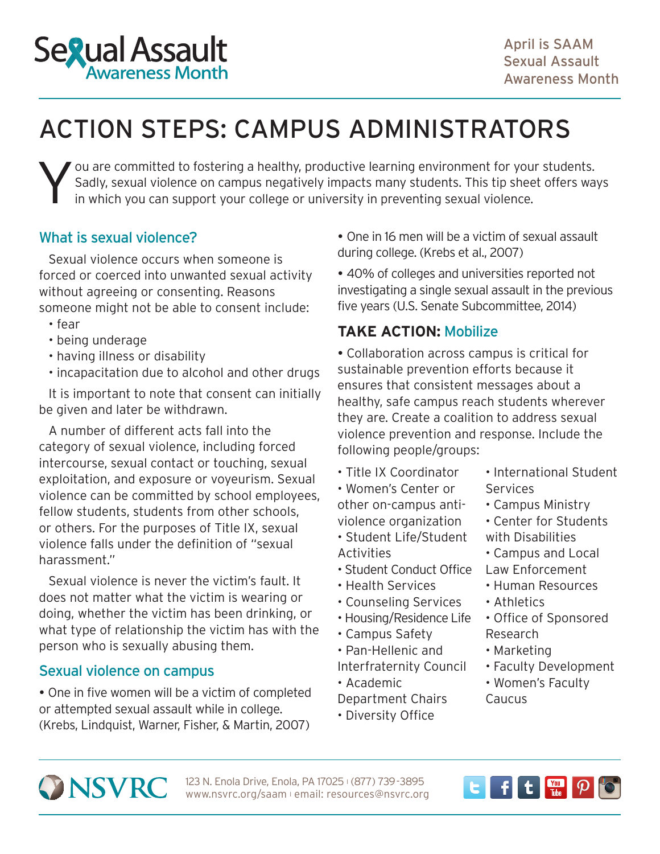

# ACTION STEPS: CAMPUS ADMINISTRATORS

You are committed to fostering a healthy, productive learning environment for your students.<br>Sadly, sexual violence on campus negatively impacts many students. This tip sheet offers was<br>in which you can support your colleg Sadly, sexual violence on campus negatively impacts many students. This tip sheet offers ways in which you can support your college or university in preventing sexual violence.

## What is sexual violence?

Sexual violence occurs when someone is forced or coerced into unwanted sexual activity without agreeing or consenting. Reasons someone might not be able to consent include:

- fear
- being underage
- having illness or disability
- incapacitation due to alcohol and other drugs

It is important to note that consent can initially be given and later be withdrawn.

A number of different acts fall into the category of sexual violence, including forced intercourse, sexual contact or touching, sexual exploitation, and exposure or voyeurism. Sexual violence can be committed by school employees, fellow students, students from other schools, or others. For the purposes of Title IX, sexual violence falls under the definition of "sexual harassment."

Sexual violence is never the victim's fault. It does not matter what the victim is wearing or doing, whether the victim has been drinking, or what type of relationship the victim has with the person who is sexually abusing them.

## Sexual violence on campus

 One in five women will be a victim of completed or attempted sexual assault while in college. (Krebs, Lindquist, Warner, Fisher, & Martin, 2007)

 One in 16 men will be a victim of sexual assault during college. (Krebs et al., 2007)

 40% of colleges and universities reported not investigating a single sexual assault in the previous five years (U.S. Senate Subcommittee, 2014)

## **TAKE ACTION:** Mobilize

 Collaboration across campus is critical for sustainable prevention efforts because it ensures that consistent messages about a healthy, safe campus reach students wherever they are. Create a coalition to address sexual violence prevention and response. Include the following people/groups:

• Women's Center or Services other on-campus anti- • Campus Ministry

- Student Life/Student with Disabilities Activities • Campus and Local
- Student Conduct Office Law Enforcement
- 
- Counseling Services Athletics
- Housing/Residence Life Office of Sponsored
- Campus Safety Research
- Pan-Hellenic and Marketing
- Academic **Women's Faculty** Department Chairs Caucus
- Diversity Office
- Title IX Coordinator International Student
	-
- violence organization Center for Students
	-
- Health Services Human Resources
	-
	-
	-
- Interfraternity Council Faculty Development
	-



123 N. Enola Drive, Enola, PA 17025 (877) 739-3895 www.nsvrc.org/saam l email: resources@nsvrc.org

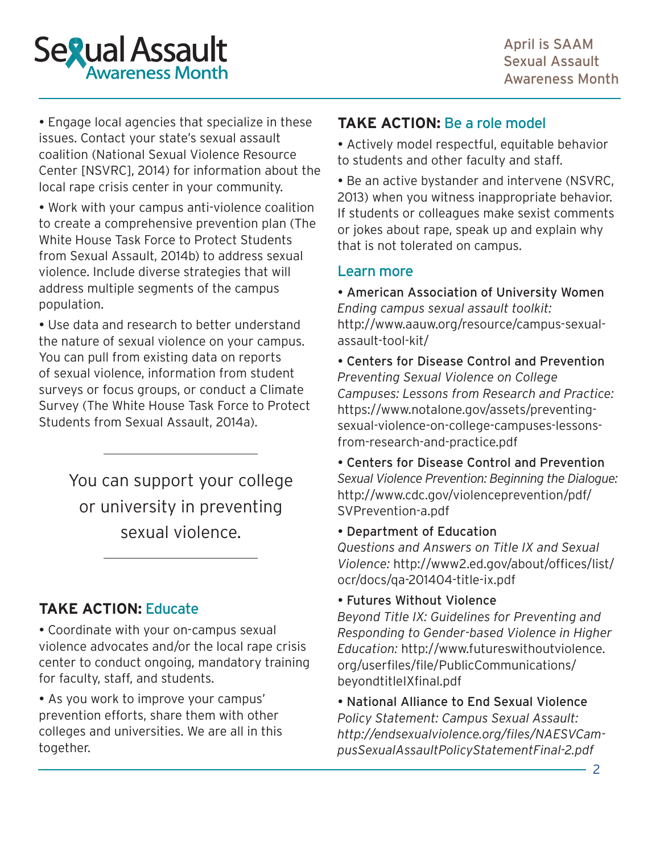

 Engage local agencies that specialize in these issues. [Contact your state's sexual assault](http://www.nsvrc.org/organizations/state-and-territory-coalitions)  [coalition \(National Sexual Violence Resource](http://www.nsvrc.org/organizations/state-and-territory-coalitions)  [Center \[NSVRC\], 2014\)](http://www.nsvrc.org/organizations/state-and-territory-coalitions) for information about the local rape crisis center in your community.

 Work with your campus anti-violence coalition to [create a comprehensive prevention plan \(The](https://www.notalone.gov/assets/prevention-overview.pdf)  [White House Task Force to Protect Students](https://www.notalone.gov/assets/prevention-overview.pdf)  [from Sexual Assault, 2014b\)](https://www.notalone.gov/assets/prevention-overview.pdf) to address sexual violence. Include diverse strategies that will address multiple segments of the campus population.

 Use data and research to better understand the nature of sexual violence on your campus. You can pull from existing data on reports of sexual violence, information from student surveys or focus groups, or [conduct a Climate](https://www.notalone.gov/assets/ovw-climate-survey.pdf)  [Survey \(The White House Task Force to Protect](https://www.notalone.gov/assets/ovw-climate-survey.pdf)  [Students from Sexual Assault, 2014a\)](https://www.notalone.gov/assets/ovw-climate-survey.pdf).

> You can support your college or university in preventing sexual violence.

## **TAKE ACTION:** Educate

 Coordinate with your on-campus sexual violence advocates and/or the local rape crisis center to conduct ongoing, mandatory training for faculty, staff, and students.

• As you work to improve your campus' prevention efforts, share them with other colleges and universities. We are all in this together.

## **TAKE ACTION:** Be a role model

 Actively model respectful, equitable behavior to students and other faculty and staff.

 [Be an active bystander and intervene](http://www.nsvrc.org/sites/default/files/publications_nsvrc_bulletin_engaging-bystanders-prevent-sexual-violence_0.pdf) (NSVRC, 2013) when you witness inappropriate behavior. If students or colleagues make sexist comments or jokes about rape, speak up and explain why that is not tolerated on campus.

#### Learn more

 American Association of University Women *Ending campus sexual assault toolkit:* [http://www.aauw.org/resource/campus-sexual](http://www.aauw.org/resource/campus-sexual-assault-tool-kit/)[assault-tool-kit/](http://www.aauw.org/resource/campus-sexual-assault-tool-kit/)

 Centers for Disease Control and Prevention *Preventing Sexual Violence on College Campuses: Lessons from Research and Practice:* [https://www.notalone.gov/assets/preventing](https://www.notalone.gov/assets/preventing-sexual-violence-on-college-campuses-lessons-from-research-and-practice.pdf)[sexual-violence-on-college-campuses-lessons](https://www.notalone.gov/assets/preventing-sexual-violence-on-college-campuses-lessons-from-research-and-practice.pdf)[from-research-and-practice.pdf](https://www.notalone.gov/assets/preventing-sexual-violence-on-college-campuses-lessons-from-research-and-practice.pdf)

 Centers for Disease Control and Prevention *Sexual Violence Prevention: Beginning the Dialogue:* [http://www.cdc.gov/violenceprevention/pdf/](http://www.cdc.gov/violenceprevention/pdf/SVPrevention-a.pdf) [SVPrevention-a.pdf](http://www.cdc.gov/violenceprevention/pdf/SVPrevention-a.pdf)

Department of Education

*Questions and Answers on Title IX and Sexual Violence:* [http://www2.ed.gov/about/offices/list/](http://www2.ed.gov/about/offices/list/ocr/docs/qa-201404-title-ix.pdf) [ocr/docs/qa-201404-title-ix.pdf](http://www2.ed.gov/about/offices/list/ocr/docs/qa-201404-title-ix.pdf)

Futures Without Violence

*Beyond Title IX: Guidelines for Preventing and Responding to Gender-based Violence in Higher Education:* [http://www.futureswithoutviolence.](http://www.futureswithoutviolence.org/userfiles/file/PublicCommunications/beyondtitleIXfinal.pdf) [org/userfiles/file/PublicCommunications/](http://www.futureswithoutviolence.org/userfiles/file/PublicCommunications/beyondtitleIXfinal.pdf) [beyondtitleIXfinal.pdf](http://www.futureswithoutviolence.org/userfiles/file/PublicCommunications/beyondtitleIXfinal.pdf)

 National Alliance to End Sexual Violence *Policy Statement: Campus Sexual Assault: [http://endsexualviolence.org/files/NAESVCam](http://endsexualviolence.org/files/NAESVCampusSexualAssaultPolicyStatementFinal-2.pdf)[pusSexualAssaultPolicyStatementFinal-2.pdf](http://endsexualviolence.org/files/NAESVCampusSexualAssaultPolicyStatementFinal-2.pdf)*